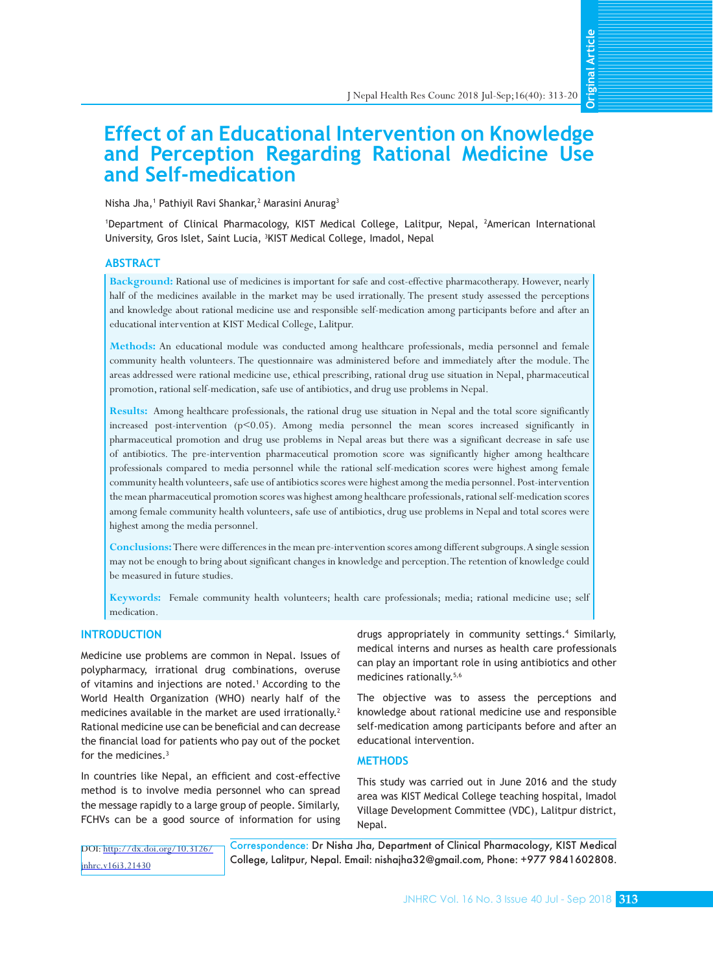**Original ArticleOriginal Articl** 

# **Effect of an Educational Intervention on Knowledge and Perception Regarding Rational Medicine Use and Self-medication**

Nisha Jha,<sup>1</sup> Pathiyil Ravi Shankar,<sup>2</sup> Marasini Anurag<sup>3</sup>

1 Department of Clinical Pharmacology, KIST Medical College, Lalitpur, Nepal, <sup>2</sup> American International University, Gros Islet, Saint Lucia, 3 KIST Medical College, Imadol, Nepal

## **ABSTRACT**

**Background:** Rational use of medicines is important for safe and cost-effective pharmacotherapy. However, nearly half of the medicines available in the market may be used irrationally. The present study assessed the perceptions and knowledge about rational medicine use and responsible self-medication among participants before and after an educational intervention at KIST Medical College, Lalitpur.

**Methods:** An educational module was conducted among healthcare professionals, media personnel and female community health volunteers. The questionnaire was administered before and immediately after the module. The areas addressed were rational medicine use, ethical prescribing, rational drug use situation in Nepal, pharmaceutical promotion, rational self-medication, safe use of antibiotics, and drug use problems in Nepal.

**Results:** Among healthcare professionals, the rational drug use situation in Nepal and the total score significantly increased post-intervention  $(p<0.05)$ . Among media personnel the mean scores increased significantly in pharmaceutical promotion and drug use problems in Nepal areas but there was a significant decrease in safe use of antibiotics. The pre-intervention pharmaceutical promotion score was significantly higher among healthcare professionals compared to media personnel while the rational self-medication scores were highest among female community health volunteers, safe use of antibiotics scores were highest among the media personnel. Post-intervention the mean pharmaceutical promotion scores was highest among healthcare professionals, rational self-medication scores among female community health volunteers, safe use of antibiotics, drug use problems in Nepal and total scores were highest among the media personnel.

**Conclusions:** There were differences in the mean pre-intervention scores among different subgroups. A single session may not be enough to bring about significant changes in knowledge and perception. The retention of knowledge could be measured in future studies.

**Keywords:** Female community health volunteers; health care professionals; media; rational medicine use; self medication.

#### **INTRODUCTION**

Medicine use problems are common in Nepal. Issues of polypharmacy, irrational drug combinations, overuse of vitamins and injections are noted.<sup>1</sup> According to the World Health Organization (WHO) nearly half of the medicines available in the market are used irrationally.<sup>2</sup> Rational medicine use can be beneficial and can decrease the financial load for patients who pay out of the pocket for the medicines.3

In countries like Nepal, an efficient and cost-effective method is to involve media personnel who can spread the message rapidly to a large group of people. Similarly, FCHVs can be a good source of information for using

drugs appropriately in community settings.4 Similarly, medical interns and nurses as health care professionals can play an important role in using antibiotics and other medicines rationally.<sup>5,6</sup>

The objective was to assess the perceptions and knowledge about rational medicine use and responsible self-medication among participants before and after an educational intervention.

#### **METHODS**

This study was carried out in June 2016 and the study area was KIST Medical College teaching hospital, Imadol Village Development Committee (VDC), Lalitpur district, Nepal.

Correspondence: Dr Nisha Jha, Department of Clinical Pharmacology, KIST Medical College, Lalitpur, Nepal. Email: [nishajha32@gmail.com](mailto:nishajha32@gmail.com), Phone: +977 9841602808. DOI: [http://dx.doi.org/10.3126/](http://dx.doi.org/10.3126/jnhrc.v16i3.21430) [jnhrc.v16i3.21430](http://dx.doi.org/10.3126/jnhrc.v16i3.21430)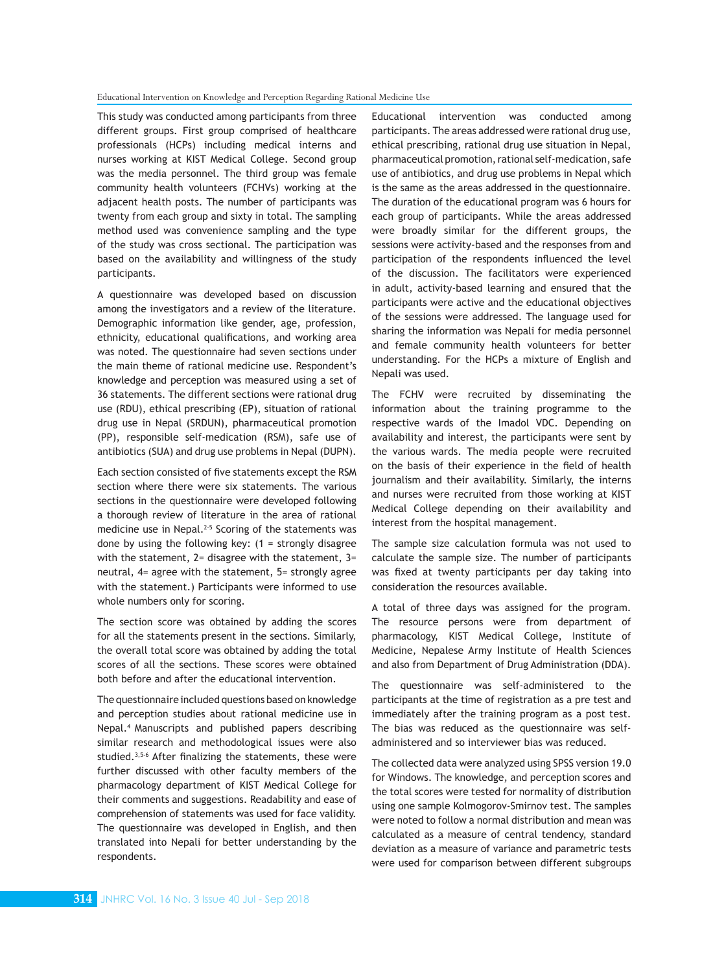This study was conducted among participants from three different groups. First group comprised of healthcare professionals (HCPs) including medical interns and nurses working at KIST Medical College. Second group was the media personnel. The third group was female community health volunteers (FCHVs) working at the adjacent health posts. The number of participants was twenty from each group and sixty in total. The sampling method used was convenience sampling and the type of the study was cross sectional. The participation was based on the availability and willingness of the study participants.

A questionnaire was developed based on discussion among the investigators and a review of the literature. Demographic information like gender, age, profession, ethnicity, educational qualifications, and working area was noted. The questionnaire had seven sections under the main theme of rational medicine use. Respondent's knowledge and perception was measured using a set of 36 statements. The different sections were rational drug use (RDU), ethical prescribing (EP), situation of rational drug use in Nepal (SRDUN), pharmaceutical promotion (PP), responsible self-medication (RSM), safe use of antibiotics (SUA) and drug use problems in Nepal (DUPN).

Each section consisted of five statements except the RSM section where there were six statements. The various sections in the questionnaire were developed following a thorough review of literature in the area of rational medicine use in Nepal.<sup>2-5</sup> Scoring of the statements was done by using the following key:  $(1 -$  strongly disagree with the statement,  $2=$  disagree with the statement,  $3=$ neutral, 4= agree with the statement, 5= strongly agree with the statement.) Participants were informed to use whole numbers only for scoring.

The section score was obtained by adding the scores for all the statements present in the sections. Similarly, the overall total score was obtained by adding the total scores of all the sections. These scores were obtained both before and after the educational intervention.

The questionnaire included questions based on knowledge and perception studies about rational medicine use in Nepal.4 Manuscripts and published papers describing similar research and methodological issues were also studied.<sup>3,5-6</sup> After finalizing the statements, these were further discussed with other faculty members of the pharmacology department of KIST Medical College for their comments and suggestions. Readability and ease of comprehension of statements was used for face validity. The questionnaire was developed in English, and then translated into Nepali for better understanding by the respondents.

Educational intervention was conducted among participants. The areas addressed were rational drug use, ethical prescribing, rational drug use situation in Nepal, pharmaceutical promotion, rational self-medication, safe use of antibiotics, and drug use problems in Nepal which is the same as the areas addressed in the questionnaire. The duration of the educational program was 6 hours for each group of participants. While the areas addressed were broadly similar for the different groups, the sessions were activity-based and the responses from and participation of the respondents influenced the level of the discussion. The facilitators were experienced in adult, activity-based learning and ensured that the participants were active and the educational objectives of the sessions were addressed. The language used for sharing the information was Nepali for media personnel and female community health volunteers for better understanding. For the HCPs a mixture of English and Nepali was used.

The FCHV were recruited by disseminating the information about the training programme to the respective wards of the Imadol VDC. Depending on availability and interest, the participants were sent by the various wards. The media people were recruited on the basis of their experience in the field of health journalism and their availability. Similarly, the interns and nurses were recruited from those working at KIST Medical College depending on their availability and interest from the hospital management.

The sample size calculation formula was not used to calculate the sample size. The number of participants was fixed at twenty participants per day taking into consideration the resources available.

A total of three days was assigned for the program. The resource persons were from department of pharmacology, KIST Medical College, Institute of Medicine, Nepalese Army Institute of Health Sciences and also from Department of Drug Administration (DDA).

The questionnaire was self-administered to the participants at the time of registration as a pre test and immediately after the training program as a post test. The bias was reduced as the questionnaire was selfadministered and so interviewer bias was reduced.

The collected data were analyzed using SPSS version 19.0 for Windows. The knowledge, and perception scores and the total scores were tested for normality of distribution using one sample Kolmogorov-Smirnov test. The samples were noted to follow a normal distribution and mean was calculated as a measure of central tendency, standard deviation as a measure of variance and parametric tests were used for comparison between different subgroups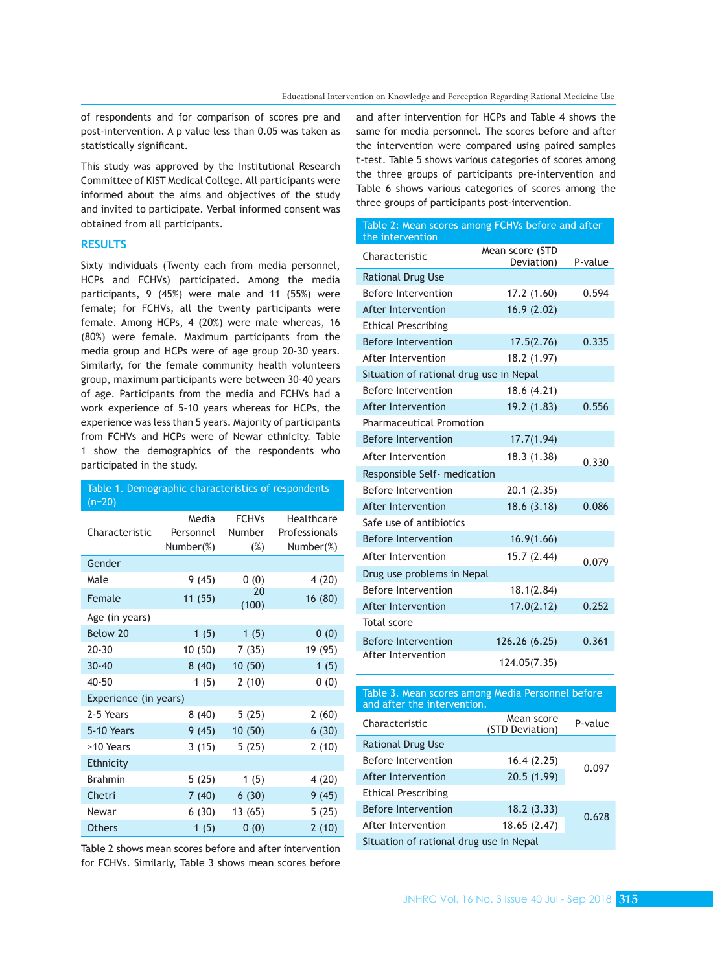of respondents and for comparison of scores pre and post-intervention. A p value less than 0.05 was taken as statistically significant.

This study was approved by the Institutional Research Committee of KIST Medical College. All participants were informed about the aims and objectives of the study and invited to participate. Verbal informed consent was obtained from all participants.

## **RESULTS**

Sixty individuals (Twenty each from media personnel, HCPs and FCHVs) participated. Among the media participants, 9 (45%) were male and 11 (55%) were female; for FCHVs, all the twenty participants were female. Among HCPs, 4 (20%) were male whereas, 16 (80%) were female. Maximum participants from the media group and HCPs were of age group 20-30 years. Similarly, for the female community health volunteers group, maximum participants were between 30-40 years of age. Participants from the media and FCHVs had a work experience of 5-10 years whereas for HCPs, the experience was less than 5 years. Majority of participants from FCHVs and HCPs were of Newar ethnicity. Table 1 show the demographics of the respondents who participated in the study.

| Table 1. Demographic characteristics of respondents |           |               |               |  |  |  |  |
|-----------------------------------------------------|-----------|---------------|---------------|--|--|--|--|
| $(n=20)$                                            |           |               |               |  |  |  |  |
|                                                     | Media     | <b>FCHVs</b>  | Healthcare    |  |  |  |  |
| Characteristic                                      | Personnel | <b>Number</b> | Professionals |  |  |  |  |
|                                                     | Number(%) | $(\%)$        | Number(%)     |  |  |  |  |
| Gender                                              |           |               |               |  |  |  |  |
| Male                                                | 9(45)     | 0(0)          | 4(20)         |  |  |  |  |
| Female                                              | 11(55)    | 20<br>(100)   | 16 (80)       |  |  |  |  |
| Age (in years)                                      |           |               |               |  |  |  |  |
| Below 20                                            | 1(5)      | 1(5)          | 0(0)          |  |  |  |  |
| $20 - 30$                                           | 10(50)    | 7(35)         | 19 (95)       |  |  |  |  |
| $30 - 40$                                           | 8(40)     | 10(50)        | 1(5)          |  |  |  |  |
| $40 - 50$                                           | 1(5)      | 2(10)         | 0(0)          |  |  |  |  |
| Experience (in years)                               |           |               |               |  |  |  |  |
| 2-5 Years                                           | 8(40)     | 5(25)         | 2(60)         |  |  |  |  |
| 5-10 Years                                          | 9(45)     | 10(50)        | 6(30)         |  |  |  |  |
| >10 Years                                           | 3(15)     | 5(25)         | 2(10)         |  |  |  |  |
| Ethnicity                                           |           |               |               |  |  |  |  |
| <b>Brahmin</b>                                      | 5(25)     | 1(5)          | 4(20)         |  |  |  |  |
| Chetri                                              | 7(40)     | 6(30)         | 9(45)         |  |  |  |  |
| Newar                                               | 6(30)     | 13(65)        | 5(25)         |  |  |  |  |
| <b>Others</b>                                       | 1(5)      | 0(0)          | 2(10)         |  |  |  |  |

Table 2 shows mean scores before and after intervention for FCHVs. Similarly, Table 3 shows mean scores before and after intervention for HCPs and Table 4 shows the same for media personnel. The scores before and after the intervention were compared using paired samples t-test. Table 5 shows various categories of scores among the three groups of participants pre-intervention and Table 6 shows various categories of scores among the three groups of participants post-intervention.

| Table 2: Mean scores among FCHVs before and after<br>the intervention |                               |         |
|-----------------------------------------------------------------------|-------------------------------|---------|
| Characteristic                                                        | Mean score (STD<br>Deviation) | P-value |
| <b>Rational Drug Use</b>                                              |                               |         |
| Before Intervention                                                   | 17.2(1.60)                    | 0.594   |
| After Intervention                                                    | 16.9(2.02)                    |         |
| <b>Ethical Prescribing</b>                                            |                               |         |
| <b>Before Intervention</b>                                            | 17.5(2.76)                    | 0.335   |
| After Intervention                                                    | 18.2 (1.97)                   |         |
| Situation of rational drug use in Nepal                               |                               |         |
| Before Intervention                                                   | 18.6 (4.21)                   |         |
| After Intervention                                                    | 19.2 (1.83)                   | 0.556   |
| <b>Pharmaceutical Promotion</b>                                       |                               |         |
| <b>Before Intervention</b>                                            | 17.7(1.94)                    |         |
| After Intervention                                                    | 18.3 (1.38)                   | 0.330   |
| Responsible Self- medication                                          |                               |         |
| Before Intervention                                                   | 20.1(2.35)                    |         |
| After Intervention                                                    | 18.6(3.18)                    | 0.086   |
| Safe use of antibiotics                                               |                               |         |
| <b>Before Intervention</b>                                            | 16.9(1.66)                    |         |
| After Intervention                                                    | 15.7 (2.44)                   | 0.079   |
| Drug use problems in Nepal                                            |                               |         |
| Before Intervention                                                   | 18.1(2.84)                    |         |
| After Intervention                                                    | 17.0(2.12)                    | 0.252   |
| Total score                                                           |                               |         |
| <b>Before Intervention</b>                                            | 126.26 (6.25)                 | 0.361   |
| <b>After Intervention</b>                                             | 124.05(7.35)                  |         |

| Table 3. Mean scores among Media Personnel before<br>and after the intervention. |                               |         |  |  |  |  |
|----------------------------------------------------------------------------------|-------------------------------|---------|--|--|--|--|
| Characteristic                                                                   | Mean score<br>(STD Deviation) | P-value |  |  |  |  |
| <b>Rational Drug Use</b>                                                         |                               |         |  |  |  |  |
| Before Intervention                                                              | 0.097                         |         |  |  |  |  |
| After Intervention                                                               |                               |         |  |  |  |  |
| Ethical Prescribing                                                              |                               |         |  |  |  |  |
| <b>Before Intervention</b>                                                       | 18.2(3.33)                    |         |  |  |  |  |
| After Intervention                                                               | 18.65 (2.47)                  | 0.628   |  |  |  |  |
| Situation of rational drug use in Nepal                                          |                               |         |  |  |  |  |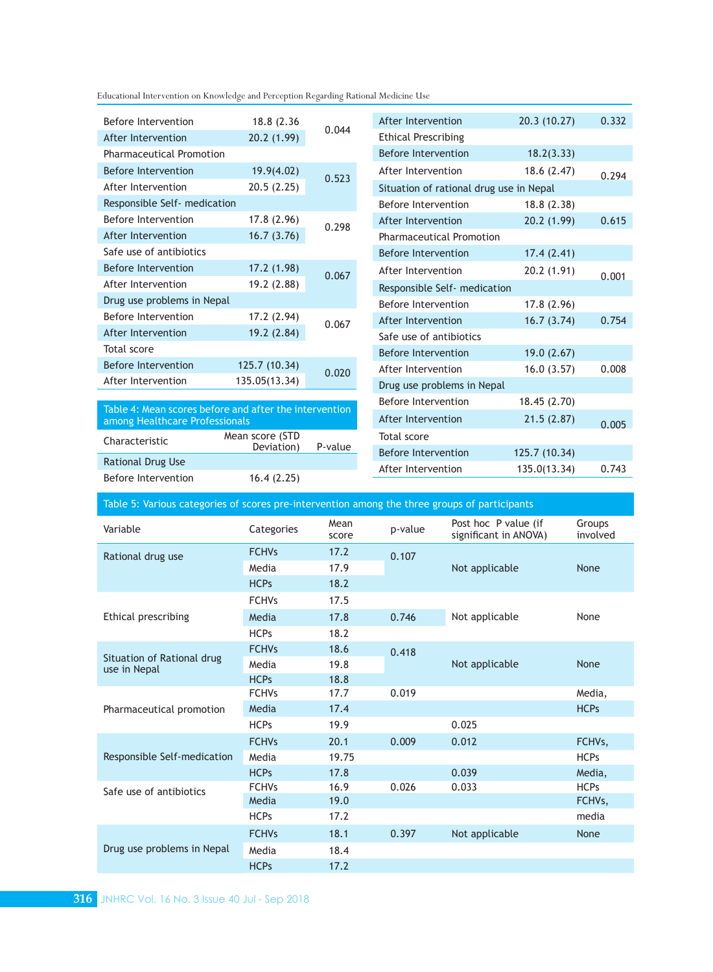| Before Intervention                                                                      | 18.8 (2.36)     | 0.044   | After Intervention              | 20.3(10.27)                             | 0.332 |  |  |
|------------------------------------------------------------------------------------------|-----------------|---------|---------------------------------|-----------------------------------------|-------|--|--|
| After Intervention                                                                       | 20.2(1.99)      |         | <b>Ethical Prescribing</b>      |                                         |       |  |  |
| <b>Pharmaceutical Promotion</b>                                                          |                 |         | <b>Before Intervention</b>      | 18.2(3.33)                              |       |  |  |
| <b>Before Intervention</b>                                                               | 19.9(4.02)      | 0.523   | After Intervention              | 18.6(2.47)                              | 0.294 |  |  |
| After Intervention                                                                       | 20.5(2.25)      |         |                                 | Situation of rational drug use in Nepal |       |  |  |
| Responsible Self- medication                                                             |                 |         | Before Intervention             | 18.8(2.38)                              |       |  |  |
| Before Intervention                                                                      | 17.8 (2.96)     | 0.298   | After Intervention              | 20.2(1.99)                              | 0.615 |  |  |
| After Intervention                                                                       | 16.7(3.76)      |         | <b>Pharmaceutical Promotion</b> |                                         |       |  |  |
| Safe use of antibiotics                                                                  |                 |         | Before Intervention             | 17.4(2.41)                              |       |  |  |
| <b>Before Intervention</b>                                                               | 17.2 (1.98)     | 0.067   | After Intervention              | 20.2(1.91)                              | 0.001 |  |  |
| After Intervention                                                                       | 19.2 (2.88)     |         | Responsible Self- medication    |                                         |       |  |  |
| Drug use problems in Nepal                                                               |                 |         | Before Intervention             | 17.8(2.96)                              |       |  |  |
| Before Intervention                                                                      | 17.2 (2.94)     | 0.067   | After Intervention              | 16.7(3.74)                              | 0.754 |  |  |
| After Intervention                                                                       | 19.2 (2.84)     |         | Safe use of antibiotics         |                                         |       |  |  |
| Total score                                                                              |                 |         | Before Intervention             | 19.0(2.67)                              |       |  |  |
| <b>Before Intervention</b>                                                               | 125.7 (10.34)   | 0.020   | After Intervention              | 16.0(3.57)                              | 0.008 |  |  |
| After Intervention                                                                       | 135.05(13.34)   |         | Drug use problems in Nepal      |                                         |       |  |  |
|                                                                                          |                 |         | Before Intervention             | 18.45(2.70)                             |       |  |  |
| Table 4: Mean scores before and after the intervention<br>among Healthcare Professionals |                 |         | After Intervention              | 21.5(2.87)                              | 0.005 |  |  |
| Characteristic                                                                           | Mean score (STD |         | Total score                     |                                         |       |  |  |
|                                                                                          | Deviation)      | P-value | <b>Before Intervention</b>      | 125.7 (10.34)                           |       |  |  |
| <b>Rational Drug Use</b>                                                                 |                 |         | After Intervention              | 135.0(13.34)                            | 0.743 |  |  |

Table 5: Various categories of scores pre-intervention among the three groups of participants

| Variable                                   | Categories   | Mean<br>score | p-value | Post hoc P value (if<br>significant in ANOVA) | Groups<br>involved  |
|--------------------------------------------|--------------|---------------|---------|-----------------------------------------------|---------------------|
| Rational drug use                          | <b>FCHVs</b> | 17.2          | 0.107   |                                               |                     |
|                                            | Media        | 17.9          |         | Not applicable                                | None                |
|                                            | <b>HCPs</b>  | 18.2          |         |                                               |                     |
|                                            | <b>FCHVs</b> | 17.5          |         |                                               |                     |
| Ethical prescribing                        | Media        | 17.8          | 0.746   | Not applicable                                | None                |
|                                            | <b>HCPs</b>  | 18.2          |         |                                               |                     |
|                                            | <b>FCHVs</b> | 18.6          | 0.418   |                                               | None                |
| Situation of Rational drug<br>use in Nepal | Media        | 19.8          |         | Not applicable                                |                     |
|                                            | <b>HCPs</b>  | 18.8          |         |                                               |                     |
| Pharmaceutical promotion                   | <b>FCHVs</b> | 17.7          | 0.019   |                                               | Media,              |
|                                            | Media        | 17.4          |         |                                               | <b>HCPs</b>         |
|                                            | <b>HCPs</b>  | 19.9          |         | 0.025                                         |                     |
| Responsible Self-medication                | <b>FCHVs</b> | 20.1          | 0.009   | 0.012                                         | FCHVs,              |
|                                            | Media        | 19.75         |         |                                               | <b>HCPs</b>         |
|                                            | <b>HCPs</b>  | 17.8          |         | 0.039                                         | Media,              |
| Safe use of antibiotics                    | <b>FCHVs</b> | 16.9          | 0.026   | 0.033                                         | <b>HCPs</b>         |
|                                            | Media        | 19.0          |         |                                               | FCHV <sub>s</sub> , |
|                                            | <b>HCPs</b>  | 17.2          |         |                                               | media               |
| Drug use problems in Nepal                 | <b>FCHVs</b> | 18.1          | 0.397   | Not applicable                                | None                |
|                                            | Media        | 18.4          |         |                                               |                     |
|                                            | <b>HCPs</b>  | 17.2          |         |                                               |                     |

Before Intervention 16.4 (2.25)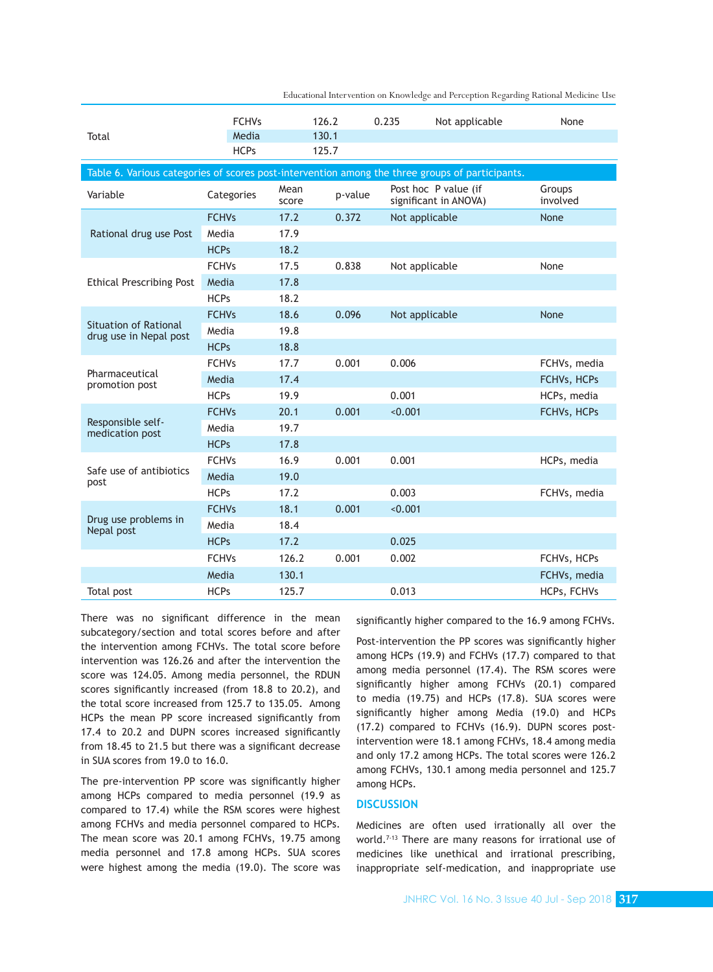| 130.1<br>Media<br>Total<br><b>HCPs</b><br>125.7<br>Table 6. Various categories of scores post-intervention among the three groups of participants.<br>Mean<br>Post hoc P value (if<br>Groups<br>Categories<br>Variable<br>p-value<br>involved<br>significant in ANOVA)<br>score<br>None<br><b>FCHVs</b><br>17.2<br>0.372<br>Not applicable<br>17.9<br>Rational drug use Post<br>Media<br><b>HCPs</b><br>18.2<br><b>FCHVs</b><br>17.5<br>0.838<br>Not applicable<br>None<br>17.8<br><b>Ethical Prescribing Post</b><br>Media<br><b>HCPs</b><br>18.2<br><b>FCHVs</b><br>18.6<br>0.096<br>None<br>Not applicable<br><b>Situation of Rational</b><br>19.8<br>Media<br>drug use in Nepal post<br>18.8<br><b>HCPs</b><br>0.001<br><b>FCHVs</b><br>17.7<br>0.006<br>FCHVs, media<br>Pharmaceutical<br>17.4<br>Media<br>FCHVs, HCPs<br>promotion post<br><b>HCPs</b><br>19.9<br>0.001<br>HCPs, media<br>0.001<br>20.1<br>< 0.001<br><b>FCHVs</b><br>FCHVs, HCPs<br>Responsible self-<br>19.7<br>Media<br>medication post<br><b>HCPs</b><br>17.8<br>16.9<br>0.001<br>0.001<br><b>FCHVs</b><br>HCPs, media<br>Safe use of antibiotics<br>19.0<br>Media<br>post<br><b>HCPs</b><br>0.003<br>17.2<br>FCHVs, media<br><b>FCHVs</b><br>18.1<br>0.001<br>< 0.001<br>Drug use problems in<br>18.4<br>Media<br>Nepal post |  | <b>FCHVs</b> |      | 126.2 | 0.235 | Not applicable | None |
|---------------------------------------------------------------------------------------------------------------------------------------------------------------------------------------------------------------------------------------------------------------------------------------------------------------------------------------------------------------------------------------------------------------------------------------------------------------------------------------------------------------------------------------------------------------------------------------------------------------------------------------------------------------------------------------------------------------------------------------------------------------------------------------------------------------------------------------------------------------------------------------------------------------------------------------------------------------------------------------------------------------------------------------------------------------------------------------------------------------------------------------------------------------------------------------------------------------------------------------------------------------------------------------------------------|--|--------------|------|-------|-------|----------------|------|
|                                                                                                                                                                                                                                                                                                                                                                                                                                                                                                                                                                                                                                                                                                                                                                                                                                                                                                                                                                                                                                                                                                                                                                                                                                                                                                         |  |              |      |       |       |                |      |
|                                                                                                                                                                                                                                                                                                                                                                                                                                                                                                                                                                                                                                                                                                                                                                                                                                                                                                                                                                                                                                                                                                                                                                                                                                                                                                         |  |              |      |       |       |                |      |
|                                                                                                                                                                                                                                                                                                                                                                                                                                                                                                                                                                                                                                                                                                                                                                                                                                                                                                                                                                                                                                                                                                                                                                                                                                                                                                         |  |              |      |       |       |                |      |
|                                                                                                                                                                                                                                                                                                                                                                                                                                                                                                                                                                                                                                                                                                                                                                                                                                                                                                                                                                                                                                                                                                                                                                                                                                                                                                         |  |              |      |       |       |                |      |
|                                                                                                                                                                                                                                                                                                                                                                                                                                                                                                                                                                                                                                                                                                                                                                                                                                                                                                                                                                                                                                                                                                                                                                                                                                                                                                         |  |              |      |       |       |                |      |
|                                                                                                                                                                                                                                                                                                                                                                                                                                                                                                                                                                                                                                                                                                                                                                                                                                                                                                                                                                                                                                                                                                                                                                                                                                                                                                         |  |              |      |       |       |                |      |
|                                                                                                                                                                                                                                                                                                                                                                                                                                                                                                                                                                                                                                                                                                                                                                                                                                                                                                                                                                                                                                                                                                                                                                                                                                                                                                         |  |              |      |       |       |                |      |
|                                                                                                                                                                                                                                                                                                                                                                                                                                                                                                                                                                                                                                                                                                                                                                                                                                                                                                                                                                                                                                                                                                                                                                                                                                                                                                         |  |              |      |       |       |                |      |
|                                                                                                                                                                                                                                                                                                                                                                                                                                                                                                                                                                                                                                                                                                                                                                                                                                                                                                                                                                                                                                                                                                                                                                                                                                                                                                         |  |              |      |       |       |                |      |
|                                                                                                                                                                                                                                                                                                                                                                                                                                                                                                                                                                                                                                                                                                                                                                                                                                                                                                                                                                                                                                                                                                                                                                                                                                                                                                         |  |              |      |       |       |                |      |
|                                                                                                                                                                                                                                                                                                                                                                                                                                                                                                                                                                                                                                                                                                                                                                                                                                                                                                                                                                                                                                                                                                                                                                                                                                                                                                         |  |              |      |       |       |                |      |
|                                                                                                                                                                                                                                                                                                                                                                                                                                                                                                                                                                                                                                                                                                                                                                                                                                                                                                                                                                                                                                                                                                                                                                                                                                                                                                         |  |              |      |       |       |                |      |
|                                                                                                                                                                                                                                                                                                                                                                                                                                                                                                                                                                                                                                                                                                                                                                                                                                                                                                                                                                                                                                                                                                                                                                                                                                                                                                         |  |              |      |       |       |                |      |
|                                                                                                                                                                                                                                                                                                                                                                                                                                                                                                                                                                                                                                                                                                                                                                                                                                                                                                                                                                                                                                                                                                                                                                                                                                                                                                         |  |              |      |       |       |                |      |
|                                                                                                                                                                                                                                                                                                                                                                                                                                                                                                                                                                                                                                                                                                                                                                                                                                                                                                                                                                                                                                                                                                                                                                                                                                                                                                         |  |              |      |       |       |                |      |
|                                                                                                                                                                                                                                                                                                                                                                                                                                                                                                                                                                                                                                                                                                                                                                                                                                                                                                                                                                                                                                                                                                                                                                                                                                                                                                         |  |              |      |       |       |                |      |
|                                                                                                                                                                                                                                                                                                                                                                                                                                                                                                                                                                                                                                                                                                                                                                                                                                                                                                                                                                                                                                                                                                                                                                                                                                                                                                         |  |              |      |       |       |                |      |
|                                                                                                                                                                                                                                                                                                                                                                                                                                                                                                                                                                                                                                                                                                                                                                                                                                                                                                                                                                                                                                                                                                                                                                                                                                                                                                         |  |              |      |       |       |                |      |
|                                                                                                                                                                                                                                                                                                                                                                                                                                                                                                                                                                                                                                                                                                                                                                                                                                                                                                                                                                                                                                                                                                                                                                                                                                                                                                         |  |              |      |       |       |                |      |
|                                                                                                                                                                                                                                                                                                                                                                                                                                                                                                                                                                                                                                                                                                                                                                                                                                                                                                                                                                                                                                                                                                                                                                                                                                                                                                         |  |              |      |       |       |                |      |
|                                                                                                                                                                                                                                                                                                                                                                                                                                                                                                                                                                                                                                                                                                                                                                                                                                                                                                                                                                                                                                                                                                                                                                                                                                                                                                         |  |              |      |       |       |                |      |
|                                                                                                                                                                                                                                                                                                                                                                                                                                                                                                                                                                                                                                                                                                                                                                                                                                                                                                                                                                                                                                                                                                                                                                                                                                                                                                         |  |              |      |       |       |                |      |
|                                                                                                                                                                                                                                                                                                                                                                                                                                                                                                                                                                                                                                                                                                                                                                                                                                                                                                                                                                                                                                                                                                                                                                                                                                                                                                         |  |              |      |       |       |                |      |
|                                                                                                                                                                                                                                                                                                                                                                                                                                                                                                                                                                                                                                                                                                                                                                                                                                                                                                                                                                                                                                                                                                                                                                                                                                                                                                         |  |              |      |       |       |                |      |
|                                                                                                                                                                                                                                                                                                                                                                                                                                                                                                                                                                                                                                                                                                                                                                                                                                                                                                                                                                                                                                                                                                                                                                                                                                                                                                         |  | <b>HCPs</b>  | 17.2 |       | 0.025 |                |      |
| <b>FCHVs</b><br>126.2<br>0.001<br>0.002<br>FCHVs, HCPs                                                                                                                                                                                                                                                                                                                                                                                                                                                                                                                                                                                                                                                                                                                                                                                                                                                                                                                                                                                                                                                                                                                                                                                                                                                  |  |              |      |       |       |                |      |
| 130.1<br>Media<br>FCHVs, media                                                                                                                                                                                                                                                                                                                                                                                                                                                                                                                                                                                                                                                                                                                                                                                                                                                                                                                                                                                                                                                                                                                                                                                                                                                                          |  |              |      |       |       |                |      |
| <b>HCPs</b><br>125.7<br>0.013<br>HCPs, FCHVs<br>Total post                                                                                                                                                                                                                                                                                                                                                                                                                                                                                                                                                                                                                                                                                                                                                                                                                                                                                                                                                                                                                                                                                                                                                                                                                                              |  |              |      |       |       |                |      |

There was no significant difference in the mean subcategory/section and total scores before and after the intervention among FCHVs. The total score before intervention was 126.26 and after the intervention the score was 124.05. Among media personnel, the RDUN scores significantly increased (from 18.8 to 20.2), and the total score increased from 125.7 to 135.05. Among HCPs the mean PP score increased significantly from 17.4 to 20.2 and DUPN scores increased significantly from 18.45 to 21.5 but there was a significant decrease in SUA scores from 19.0 to 16.0.

The pre-intervention PP score was significantly higher among HCPs compared to media personnel (19.9 as compared to 17.4) while the RSM scores were highest among FCHVs and media personnel compared to HCPs. The mean score was 20.1 among FCHVs, 19.75 among media personnel and 17.8 among HCPs. SUA scores were highest among the media (19.0). The score was significantly higher compared to the 16.9 among FCHVs.

Post-intervention the PP scores was significantly higher among HCPs (19.9) and FCHVs (17.7) compared to that among media personnel (17.4). The RSM scores were significantly higher among FCHVs (20.1) compared to media (19.75) and HCPs (17.8). SUA scores were significantly higher among Media (19.0) and HCPs (17.2) compared to FCHVs (16.9). DUPN scores postintervention were 18.1 among FCHVs, 18.4 among media and only 17.2 among HCPs. The total scores were 126.2 among FCHVs, 130.1 among media personnel and 125.7 among HCPs.

## **DISCUSSION**

Medicines are often used irrationally all over the world.<sup>7-13</sup> There are many reasons for irrational use of medicines like unethical and irrational prescribing, inappropriate self-medication, and inappropriate use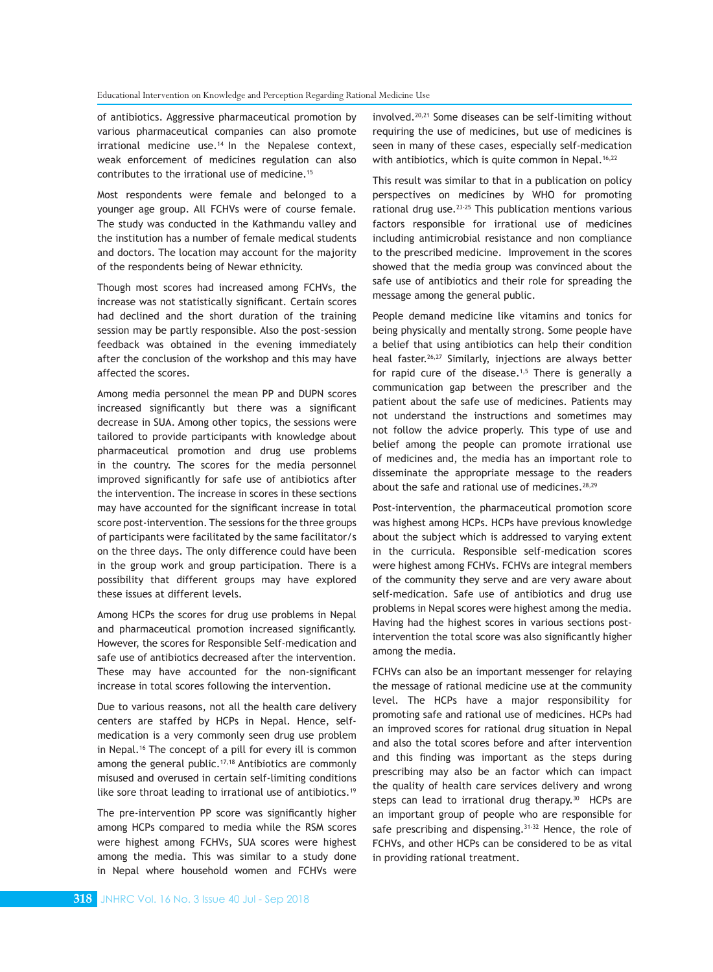of antibiotics. Aggressive pharmaceutical promotion by various pharmaceutical companies can also promote  $irrational$  medicine use. $14$  In the Nepalese context, weak enforcement of medicines regulation can also contributes to the irrational use of medicine.<sup>15</sup>

Most respondents were female and belonged to a younger age group. All FCHVs were of course female. The study was conducted in the Kathmandu valley and the institution has a number of female medical students and doctors. The location may account for the majority of the respondents being of Newar ethnicity.

Though most scores had increased among FCHVs, the increase was not statistically significant. Certain scores had declined and the short duration of the training session may be partly responsible. Also the post-session feedback was obtained in the evening immediately after the conclusion of the workshop and this may have affected the scores.

Among media personnel the mean PP and DUPN scores increased significantly but there was a significant decrease in SUA. Among other topics, the sessions were tailored to provide participants with knowledge about pharmaceutical promotion and drug use problems in the country. The scores for the media personnel improved significantly for safe use of antibiotics after the intervention. The increase in scores in these sections may have accounted for the significant increase in total score post-intervention. The sessions for the three groups of participants were facilitated by the same facilitator/s on the three days. The only difference could have been in the group work and group participation. There is a possibility that different groups may have explored these issues at different levels.

Among HCPs the scores for drug use problems in Nepal and pharmaceutical promotion increased significantly. However, the scores for Responsible Self-medication and safe use of antibiotics decreased after the intervention. These may have accounted for the non-significant increase in total scores following the intervention.

Due to various reasons, not all the health care delivery centers are staffed by HCPs in Nepal. Hence, selfmedication is a very commonly seen drug use problem in Nepal.<sup>16</sup> The concept of a pill for every ill is common among the general public.<sup>17,18</sup> Antibiotics are commonly misused and overused in certain self-limiting conditions like sore throat leading to irrational use of antibiotics.<sup>19</sup>

The pre-intervention PP score was significantly higher among HCPs compared to media while the RSM scores were highest among FCHVs, SUA scores were highest among the media. This was similar to a study done in Nepal where household women and FCHVs were

involved.20,21 Some diseases can be self-limiting without requiring the use of medicines, but use of medicines is seen in many of these cases, especially self-medication with antibiotics, which is quite common in Nepal.<sup>16,22</sup>

This result was similar to that in a publication on policy perspectives on medicines by WHO for promoting rational drug use.<sup>23-25</sup> This publication mentions various factors responsible for irrational use of medicines including antimicrobial resistance and non compliance to the prescribed medicine. Improvement in the scores showed that the media group was convinced about the safe use of antibiotics and their role for spreading the message among the general public.

People demand medicine like vitamins and tonics for being physically and mentally strong. Some people have a belief that using antibiotics can help their condition heal faster.<sup>26,27</sup> Similarly, injections are always better for rapid cure of the disease.<sup>1,5</sup> There is generally a communication gap between the prescriber and the patient about the safe use of medicines. Patients may not understand the instructions and sometimes may not follow the advice properly. This type of use and belief among the people can promote irrational use of medicines and, the media has an important role to disseminate the appropriate message to the readers about the safe and rational use of medicines.<sup>28,29</sup>

Post-intervention, the pharmaceutical promotion score was highest among HCPs. HCPs have previous knowledge about the subject which is addressed to varying extent in the curricula. Responsible self-medication scores were highest among FCHVs. FCHVs are integral members of the community they serve and are very aware about self-medication. Safe use of antibiotics and drug use problems in Nepal scores were highest among the media. Having had the highest scores in various sections postintervention the total score was also significantly higher among the media.

FCHVs can also be an important messenger for relaying the message of rational medicine use at the community level. The HCPs have a major responsibility for promoting safe and rational use of medicines. HCPs had an improved scores for rational drug situation in Nepal and also the total scores before and after intervention and this finding was important as the steps during prescribing may also be an factor which can impact the quality of health care services delivery and wrong steps can lead to irrational drug therapy. $30$  HCPs are an important group of people who are responsible for safe prescribing and dispensing.<sup>31-32</sup> Hence, the role of FCHVs, and other HCPs can be considered to be as vital in providing rational treatment.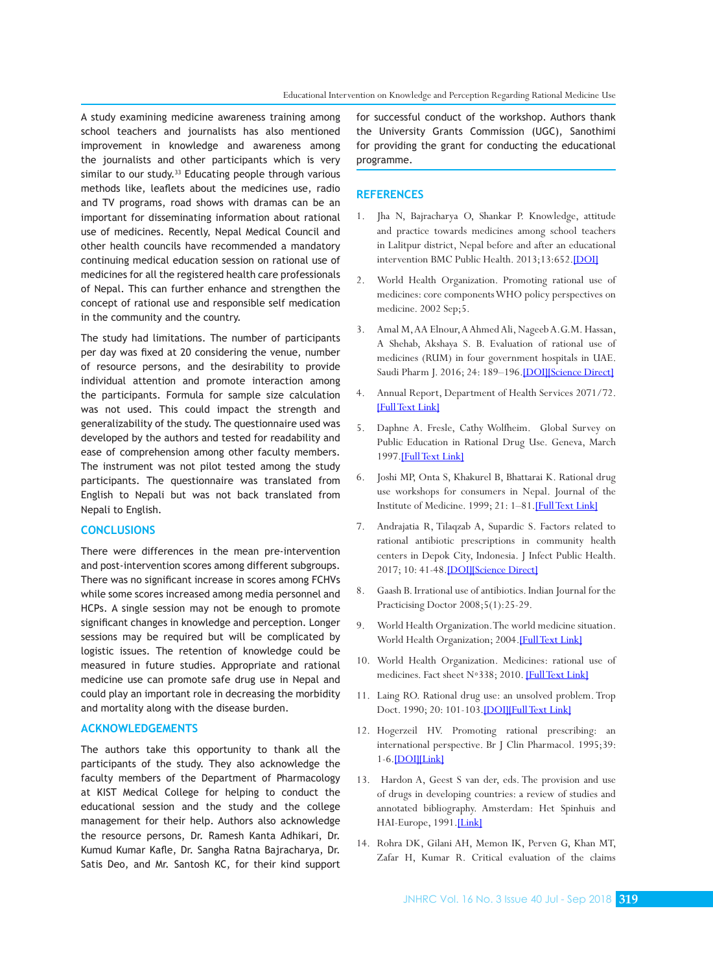A study examining medicine awareness training among school teachers and journalists has also mentioned improvement in knowledge and awareness among the journalists and other participants which is very similar to our study.<sup>33</sup> Educating people through various methods like, leaflets about the medicines use, radio and TV programs, road shows with dramas can be an important for disseminating information about rational use of medicines. Recently, Nepal Medical Council and other health councils have recommended a mandatory continuing medical education session on rational use of medicines for all the registered health care professionals of Nepal. This can further enhance and strengthen the concept of rational use and responsible self medication in the community and the country.

The study had limitations. The number of participants per day was fixed at 20 considering the venue, number of resource persons, and the desirability to provide individual attention and promote interaction among the participants. Formula for sample size calculation was not used. This could impact the strength and generalizability of the study. The questionnaire used was developed by the authors and tested for readability and ease of comprehension among other faculty members. The instrument was not pilot tested among the study participants. The questionnaire was translated from English to Nepali but was not back translated from Nepali to English.

## **CONCLUSIONS**

There were differences in the mean pre-intervention and post-intervention scores among different subgroups. There was no significant increase in scores among FCHVs while some scores increased among media personnel and HCPs. A single session may not be enough to promote significant changes in knowledge and perception. Longer sessions may be required but will be complicated by logistic issues. The retention of knowledge could be measured in future studies. Appropriate and rational medicine use can promote safe drug use in Nepal and could play an important role in decreasing the morbidity and mortality along with the disease burden.

#### **ACKNOWLEDGEMENTS**

The authors take this opportunity to thank all the participants of the study. They also acknowledge the faculty members of the Department of Pharmacology at KIST Medical College for helping to conduct the educational session and the study and the college management for their help. Authors also acknowledge the resource persons, Dr. Ramesh Kanta Adhikari, Dr. Kumud Kumar Kafle, Dr. Sangha Ratna Bajracharya, Dr. Satis Deo, and Mr. Santosh KC, for their kind support for successful conduct of the workshop. Authors thank the University Grants Commission (UGC), Sanothimi for providing the grant for conducting the educational programme.

#### **REFERENCES**

- 1. Jha N, Bajracharya O, Shankar P. Knowledge, attitude and practice towards medicines among school teachers in Lalitpur district, Nepal before and after an educational intervention [BMC Public Health.](https://www.ncbi.nlm.nih.gov/pubmed/23849402) 2013;13:652[.\[DOI\]](https://doi.org/10.1186/1471-2458-13-652)
- 2. World Health Organization. Promoting rational use of medicines: core components WHO policy perspectives on medicine. 2002 Sep;5.
- 3. Amal M, AA Elnour, A Ahmed Ali, Nageeb A.G.M. Hassan, A Shehab, Akshaya S. B. Evaluation of rational use of medicines (RUM) in four government hospitals in UAE. Saudi Pharm J. 2016; 24: 189-196. [DOI][\[Science Direct\]](https://www.sciencedirect.com/science/article/pii/S1319016415000663)
- 4. Annual Report, Department of Health Services 2071/72. [\[Full Text Link\]](http://dohs.gov.np/wp-content/uploads/2016/06/Annual_Report_FY_2071_72.pdf)
- 5. Daphne A. Fresle, Cathy Wolfheim. Global Survey on Public Education in Rational Drug Use. Geneva, March 1997[.\[Full Text Link\]](http://citeseerx.ist.psu.edu/viewdoc/download?doi=10.1.1.623.9653&rep=rep1&type=pdf)
- 6. Joshi MP, Onta S, Khakurel B, Bhattarai K. Rational drug use workshops for consumers in Nepal. Journal of the Institute of Medicine. 1999; 21: 1–81[.\[Full Text Link\]](http://jiom.com.np/index.php/jiomjournal/article/viewFile/54/55)
- 7. Andrajatia R, Tilaqzab A, Supardic S. Factors related to rational antibiotic prescriptions in community health centers in Depok City, Indonesia. J Infect Public Health. 2017; 10: 41-48[.\[DOI\]](https://doi.org/10.1016/j.jiph.2016.01.012)[\[Science Direct\]](https://www.sciencedirect.com/science/article/pii/S187603411600037X)
- 8. Gaash B. Irrational use of antibiotics. Indian Journal for the Practicising Doctor 2008;5(1):25-29.
- 9. World Health Organization. The world medicine situation. World Health Organization; 2004.[FullText Link]
- 10. World Health Organization. Medicines: rational use of medicines. Fact sheet N◦338; 2010. [\[Full Text Link\]](http://www.who.int/mediacentre/factsheets/fs338/en/index.html)
- 11. Laing RO. Rational drug use: an unsolved problem. Trop Doct. 1990; 20: 101-103[.\[DOI\]](https://doi.org/10.1177/004947559002000303)[\[Full Text Link\]](http://journals.sagepub.com/doi/abs/10.1177/004947559002000303?journalCode=tdoa)
- 12. Hogerzeil HV. Promoting rational prescribing: an international perspective. Br J Clin Pharmacol. 1995;39: 1-6[.\[DOI\]](https://doi.org/10.1111/j.1365-2125.1995.tb04402.x)[\[Link\]](https://bpspubs.onlinelibrary.wiley.com/doi/abs/10.1111/j.1365-2125.1995.tb04402.x)
- 13. Hardon A, Geest S van der, eds. The provision and use of drugs in developing countries: a review of studies and annotated bibliography. Amsterdam: Het Spinhuis and HAI-Europe, 1991[.\[Link\]](https://www.cabdirect.org/cabdirect/abstract/19916712300)
- 14. Rohra DK, Gilani AH, Memon IK, Perven G, Khan MT, Zafar H, Kumar R. Critical evaluation of the claims